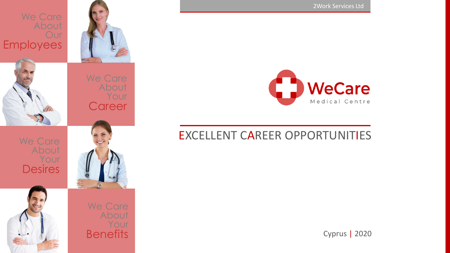We Сare We Сare About Your **Desires** We Care About Our Employees



We Сare About Your **Benefits** 



# EXCELLENT CAREER OPPORTUNITIES

Cyprus | 2020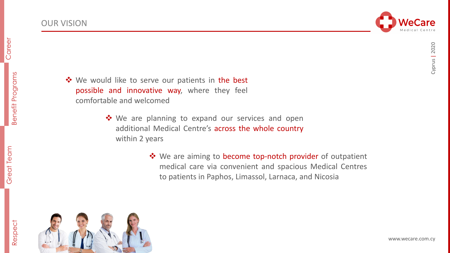

areer

 $\overline{\mathcal{C}}$ 



- ❖ We would like to serve our patients in the best possible and innovative way, where they feel comfortable and welcomed
	- ❖ We are planning to expand our services and open additional Medical Centre's across the whole country within 2 years
		- ❖ We are aiming to become top-notch provider of outpatient medical care via convenient and spacious Medical Centres to patients in Paphos, Limassol, Larnaca, and Nicosia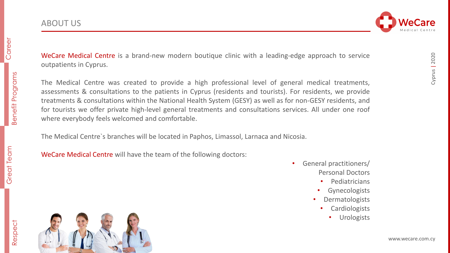

Cyprus | 2020

Cyprus | 2020

WeCare Medical Centre is a brand-new modern boutique clinic with a leading-edge approach to service outpatients in Cyprus.

The Medical Centre was created to provide a high professional level of general medical treatments, assessments & consultations to the patients in Cyprus (residents and tourists). For residents, we provide treatments & consultations within the National Health System (GESY) as well as for non-GESY residents, and for tourists we offer private high-level general treatments and consultations services. All under one roof where everybody feels welcomed and comfortable.

The Medical Centre`s branches will be located in Paphos, Limassol, Larnaca and Nicosia.

WeCare Medical Centre will have the team of the following doctors:

- General practitioners/ Personal Doctors
	- Pediatricians
	- **Gynecologists**
	- **Dermatologists** 
		- Cardiologists
			- **Urologists**

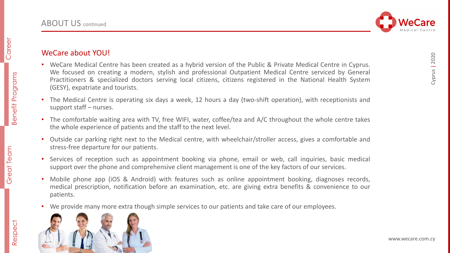

Respect

# WeCare about YOU!

- WeCare Medical Centre has been created as a hybrid version of the Public & Private Medical Centre in Cyprus. We focused on creating a modern, stylish and professional Outpatient Medical Centre serviced by General Practitioners & specialized doctors serving local citizens, citizens registered in the National Health System (GESY), expatriate and tourists.
- The Medical Centre is operating six days a week, 12 hours a day (two-shift operation), with receptionists and support staff – nurses.
- The comfortable waiting area with TV, free WIFI, water, coffee/tea and A/C throughout the whole centre takes the whole experience of patients and the staff to the next level.
- Outside car parking right next to the Medical centre, with wheelchair/stroller access, gives a comfortable and stress-free departure for our patients.
- Services of reception such as appointment booking via phone, email or web, call inquiries, basic medical support over the phone and comprehensive client management is one of the key factors of our services.
- Mobile phone app (iOS & Android) with features such as online appointment booking, diagnoses records, medical prescription, notification before an examination, etc. are giving extra benefits & convenience to our patients.
- We provide many more extra though simple services to our patients and take care of our employees.



Cyprus | 2020

Cyprus | 2020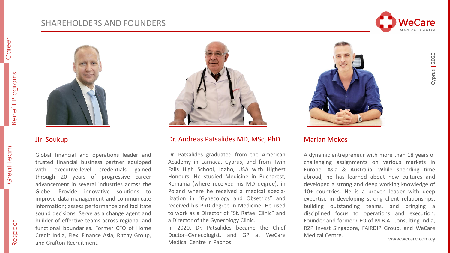## SHAREHOLDERS AND FOUNDERS





#### Jiri Soukup

Global financial and operations leader and trusted financial business partner equipped with executive-level credentials gained through 20 years of progressive career advancement in several industries across the Globe. Provide innovative solutions to improve data management and communicate information; assess performance and facilitate sound decisions. Serve as a change agent and builder of effective teams across regional and functional boundaries. Former CFO of Home Credit India, Flexi Finance Asia, Ritchy Group, and Grafton Recruitment.



#### Dr. Andreas Patsalides MD, MSc, PhD

Dr. Patsalides graduated from the American Academy in Larnaca, Сyprus, and from Twin Falls High School, Idaho, USA with Highest Honours. He studied Medicine in Bucharest, Romania (where received his MD degree), in Poland where he received a medical specialization in "Gynecology and Obsetrics" and received his PhD degree in Medicine. He used to work as a Director of "St. Rafael Clinic" and a Director of the Gynecology Clinic.

In 2020, Dr. Patsalides became the Chief Doctor–Gynecologist, and GP at WeCare Medical Centre in Paphos.



#### Marian Mokos

A dynamic entrepreneur with more than 18 years of challenging assignments on various markets in Europe, Asia & Australia. While spending time abroad, he has learned about new cultures and developed a strong and deep working knowledge of 10+ countries. He is a proven leader with deep expertise in developing strong client relationships, building outstanding teams, and bringing a disciplined focus to operations and execution. Founder and former CEO of M.B.A. Consulting India, R2P Invest Singapore, FAIRDIP Group, and WeCare Medical Centre.

Benefit Programs

**Benefit Programs** 

areer

 $\overline{C}$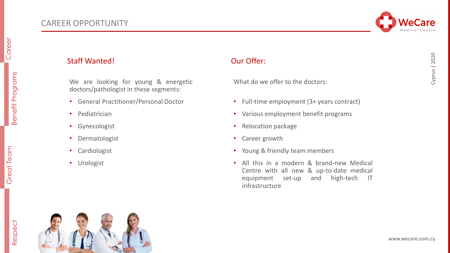

CAREER OPPORTUNITY

• Pediatrician

• Gynecologist

• Dermatologist

• Cardiologist

• Urologist

We are looking for young & energetic

doctors/pathologist in these segments:

• General Practitioner/Personal Doctor

### Staff Wanted! Case Court Court Court Court Court Court Our Offer:

What do we offer to the doctors:

- Full-time employment (3+ years contract)
- Various employment benefit programs
- Relocation package
- Career growth
- Young & friendly team members
- All this in a modern & brand-new Medical Centre with all new & up-to-date medical equipment set-up and high-tech IT infrastructure

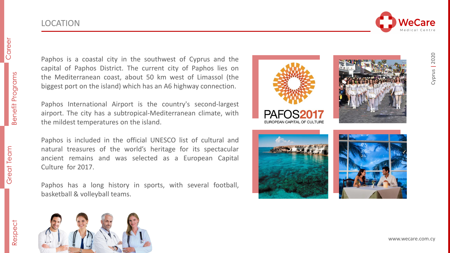LOCATION

# Great Team **Benefit Programs** Career Benefit Programs Benefit Programs



Paphos is a coastal city in the southwest of Cyprus and the capital of Paphos District . The current city of Paphos lies on the Mediterranean coast, about 50 km west of Limassol (the biggest port on the island) which has an A 6 highway connection .

Paphos International Airport is the country's second -largest airport. The city has a subtropical-Mediterranean climate, with the mildest temperatures on the island .

Paphos is included in the official UNESCO list of cultural and natural treasures of the world's heritage for its spectacular ancient remains and was selected as a European Capital Culture for 2017 .

Paphos has a long history in sports, with several football, basketball & volleyball teams .



PEAN CAPITAL OF CULTURE